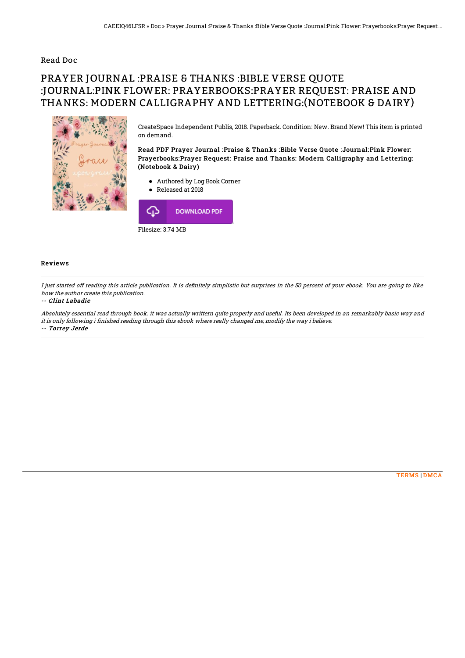### Read Doc

# PRAYER JOURNAL :PRAISE & THANKS :BIBLE VERSE QUOTE :JOURNAL:PINK FLOWER: PRAYERBOOKS:PRAYER REQUEST: PRAISE AND THANKS: MODERN CALLIGRAPHY AND LETTERING:(NOTEBOOK & DAIRY)



CreateSpace Independent Publis, 2018. Paperback. Condition: New. Brand New! This item is printed on demand.

Read PDF Prayer Journal :Praise & Thanks :Bible Verse Quote :Journal:Pink Flower: Prayerbooks:Prayer Request: Praise and Thanks: Modern Calligraphy and Lettering: (Notebook & Dairy)

- Authored by Log Book Corner
- Released at 2018



#### Reviews

I just started off reading this article publication. It is definitely simplistic but surprises in the 50 percent of your ebook. You are going to like how the author create this publication.

#### -- Clint Labadie

Absolutely essential read through book. it was actually writtern quite properly and useful. Its been developed in an remarkably basic way and it is only following i finished reading through this ebook where really changed me, modify the way i believe. -- Torrey Jerde